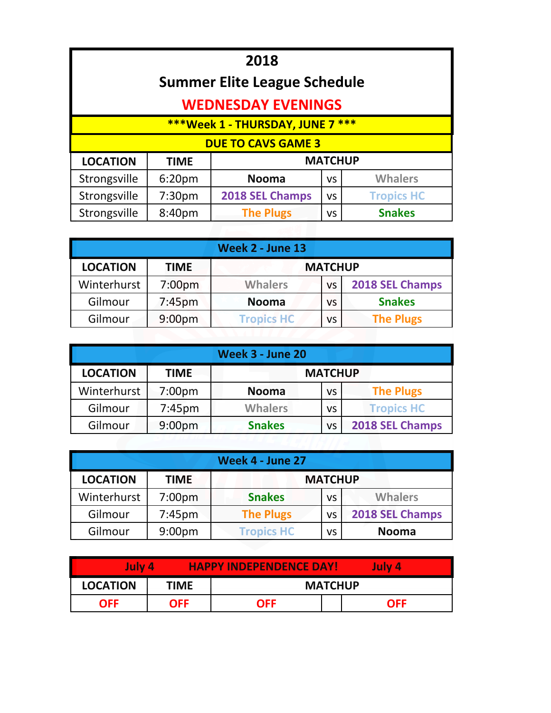| 2018                                                                     |                                                                         |              |                |                |  |  |
|--------------------------------------------------------------------------|-------------------------------------------------------------------------|--------------|----------------|----------------|--|--|
| <b>Summer Elite League Schedule</b>                                      |                                                                         |              |                |                |  |  |
| <b>WEDNESDAY EVENINGS</b>                                                |                                                                         |              |                |                |  |  |
| ***Week 1 - THURSDAY, JUNE 7 ***                                         |                                                                         |              |                |                |  |  |
| <b>DUE TO CAVS GAME 3</b>                                                |                                                                         |              |                |                |  |  |
| <b>LOCATION</b>                                                          | <b>TIME</b>                                                             |              | <b>MATCHUP</b> |                |  |  |
| Strongsville                                                             | 6:20 <sub>pm</sub>                                                      | <b>Nooma</b> | <b>VS</b>      | <b>Whalers</b> |  |  |
| Strongsville                                                             | 2018 SEL Champs<br><b>Tropics HC</b><br>7:30 <sub>pm</sub><br><b>VS</b> |              |                |                |  |  |
| Strongsville<br><b>The Plugs</b><br><b>Snakes</b><br>8:40pm<br><b>VS</b> |                                                                         |              |                |                |  |  |
|                                                                          |                                                                         |              |                |                |  |  |

| <b>Week 2 - June 13</b>                          |                    |                   |    |                  |  |
|--------------------------------------------------|--------------------|-------------------|----|------------------|--|
| <b>LOCATION</b><br><b>MATCHUP</b><br><b>TIME</b> |                    |                   |    |                  |  |
| Winterhurst                                      | 7:00 <sub>pm</sub> | <b>Whalers</b>    | VS | 2018 SEL Champs  |  |
| Gilmour                                          | 7:45 <sub>pm</sub> | <b>Nooma</b>      | VS | <b>Snakes</b>    |  |
| Gilmour                                          | 9:00 <sub>pm</sub> | <b>Tropics HC</b> | vs | <b>The Plugs</b> |  |

| <b>Week 3 - June 20</b> |                    |                |                |                   |  |
|-------------------------|--------------------|----------------|----------------|-------------------|--|
| <b>LOCATION</b>         | <b>TIME</b>        |                | <b>MATCHUP</b> |                   |  |
| Winterhurst             | 7:00 <sub>pm</sub> | <b>Nooma</b>   | VS             | <b>The Plugs</b>  |  |
| Gilmour                 | $7:45$ pm          | <b>Whalers</b> | VS             | <b>Tropics HC</b> |  |
| Gilmour                 | 9:00 <sub>pm</sub> | <b>Snakes</b>  | VS             | 2018 SEL Champs   |  |

| Week 4 - June 27                                 |                    |                   |    |                 |  |
|--------------------------------------------------|--------------------|-------------------|----|-----------------|--|
| <b>LOCATION</b><br><b>MATCHUP</b><br><b>TIME</b> |                    |                   |    |                 |  |
| Winterhurst                                      | 7:00 <sub>pm</sub> | <b>Snakes</b>     | VS | <b>Whalers</b>  |  |
| Gilmour                                          | 7:45 <sub>pm</sub> | <b>The Plugs</b>  | VS | 2018 SEL Champs |  |
| Gilmour                                          | 9:00 <sub>pm</sub> | <b>Tropics HC</b> | VS | <b>Nooma</b>    |  |

| July 4          |             | <b>HAPPY INDEPENDENCE DAY!</b> |  | July 4     |  |  |
|-----------------|-------------|--------------------------------|--|------------|--|--|
| <b>LOCATION</b> | <b>TIME</b> | <b>MATCHUP</b>                 |  |            |  |  |
| <b>OFF</b>      | <b>OFF</b>  | OFF                            |  | <b>OFF</b> |  |  |